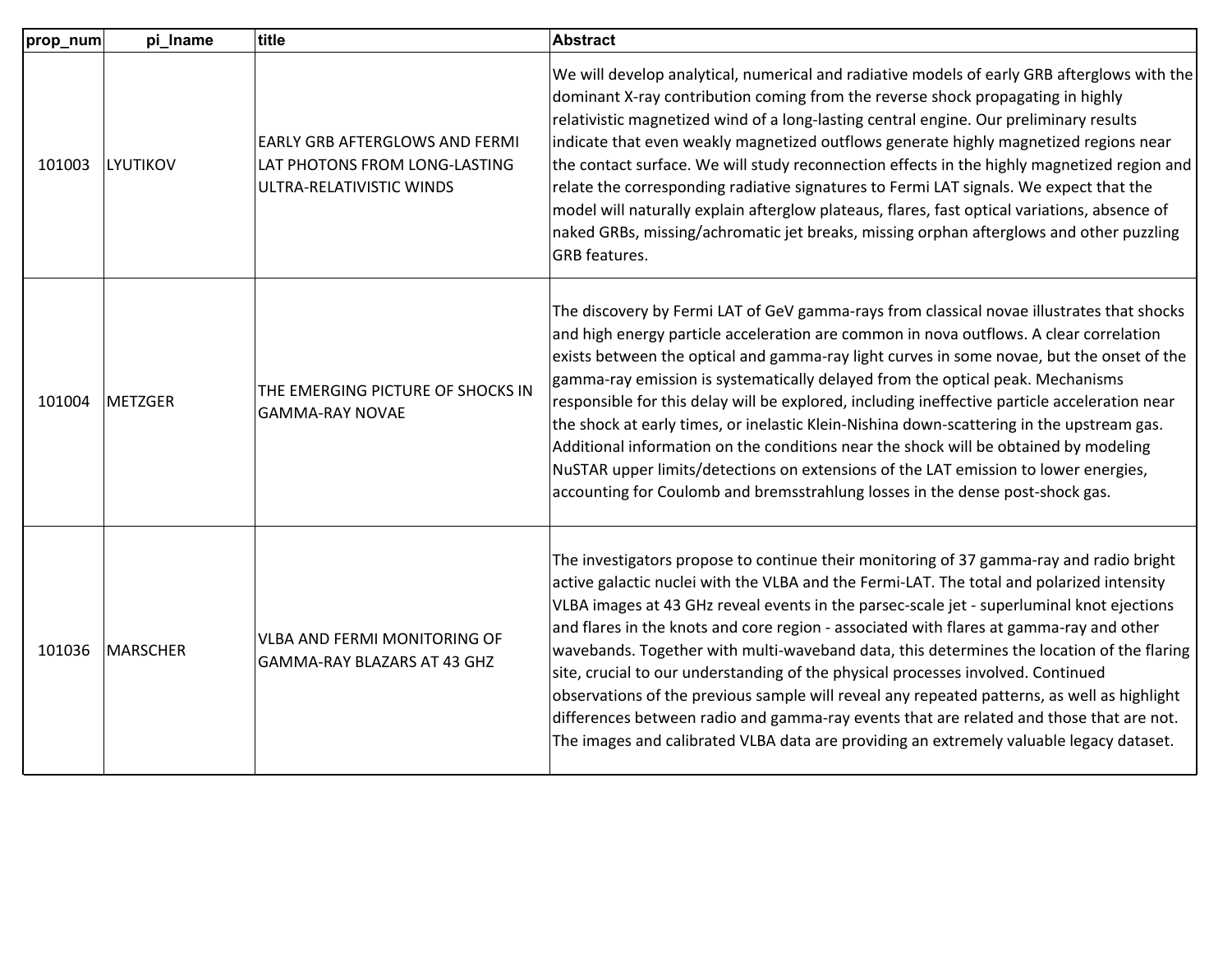| prop_num | pi_Iname        | title                                                                                              | <b>Abstract</b>                                                                                                                                                                                                                                                                                                                                                                                                                                                                                                                                                                                                                                                                                                                                                                                                                                    |
|----------|-----------------|----------------------------------------------------------------------------------------------------|----------------------------------------------------------------------------------------------------------------------------------------------------------------------------------------------------------------------------------------------------------------------------------------------------------------------------------------------------------------------------------------------------------------------------------------------------------------------------------------------------------------------------------------------------------------------------------------------------------------------------------------------------------------------------------------------------------------------------------------------------------------------------------------------------------------------------------------------------|
| 101003   | LYUTIKOV        | <b>EARLY GRB AFTERGLOWS AND FERMI</b><br>LAT PHOTONS FROM LONG-LASTING<br>ULTRA-RELATIVISTIC WINDS | We will develop analytical, numerical and radiative models of early GRB afterglows with the<br>dominant X-ray contribution coming from the reverse shock propagating in highly<br>relativistic magnetized wind of a long-lasting central engine. Our preliminary results<br>indicate that even weakly magnetized outflows generate highly magnetized regions near<br>the contact surface. We will study reconnection effects in the highly magnetized region and<br>relate the corresponding radiative signatures to Fermi LAT signals. We expect that the<br>model will naturally explain afterglow plateaus, flares, fast optical variations, absence of<br>naked GRBs, missing/achromatic jet breaks, missing orphan afterglows and other puzzling<br>GRB features.                                                                             |
| 101004   | METZGER         | THE EMERGING PICTURE OF SHOCKS IN<br><b>GAMMA-RAY NOVAE</b>                                        | The discovery by Fermi LAT of GeV gamma-rays from classical novae illustrates that shocks<br>and high energy particle acceleration are common in nova outflows. A clear correlation<br>exists between the optical and gamma-ray light curves in some novae, but the onset of the<br>gamma-ray emission is systematically delayed from the optical peak. Mechanisms<br>responsible for this delay will be explored, including ineffective particle acceleration near<br>the shock at early times, or inelastic Klein-Nishina down-scattering in the upstream gas.<br>Additional information on the conditions near the shock will be obtained by modeling<br>NuSTAR upper limits/detections on extensions of the LAT emission to lower energies,<br>accounting for Coulomb and bremsstrahlung losses in the dense post-shock gas.                   |
| 101036   | <b>MARSCHER</b> | <b>VLBA AND FERMI MONITORING OF</b><br>GAMMA-RAY BLAZARS AT 43 GHZ                                 | The investigators propose to continue their monitoring of 37 gamma-ray and radio bright<br>active galactic nuclei with the VLBA and the Fermi-LAT. The total and polarized intensity<br>VLBA images at 43 GHz reveal events in the parsec-scale jet - superluminal knot ejections<br>and flares in the knots and core region - associated with flares at gamma-ray and other<br>wavebands. Together with multi-waveband data, this determines the location of the flaring<br>site, crucial to our understanding of the physical processes involved. Continued<br>observations of the previous sample will reveal any repeated patterns, as well as highlight<br>differences between radio and gamma-ray events that are related and those that are not.<br>The images and calibrated VLBA data are providing an extremely valuable legacy dataset. |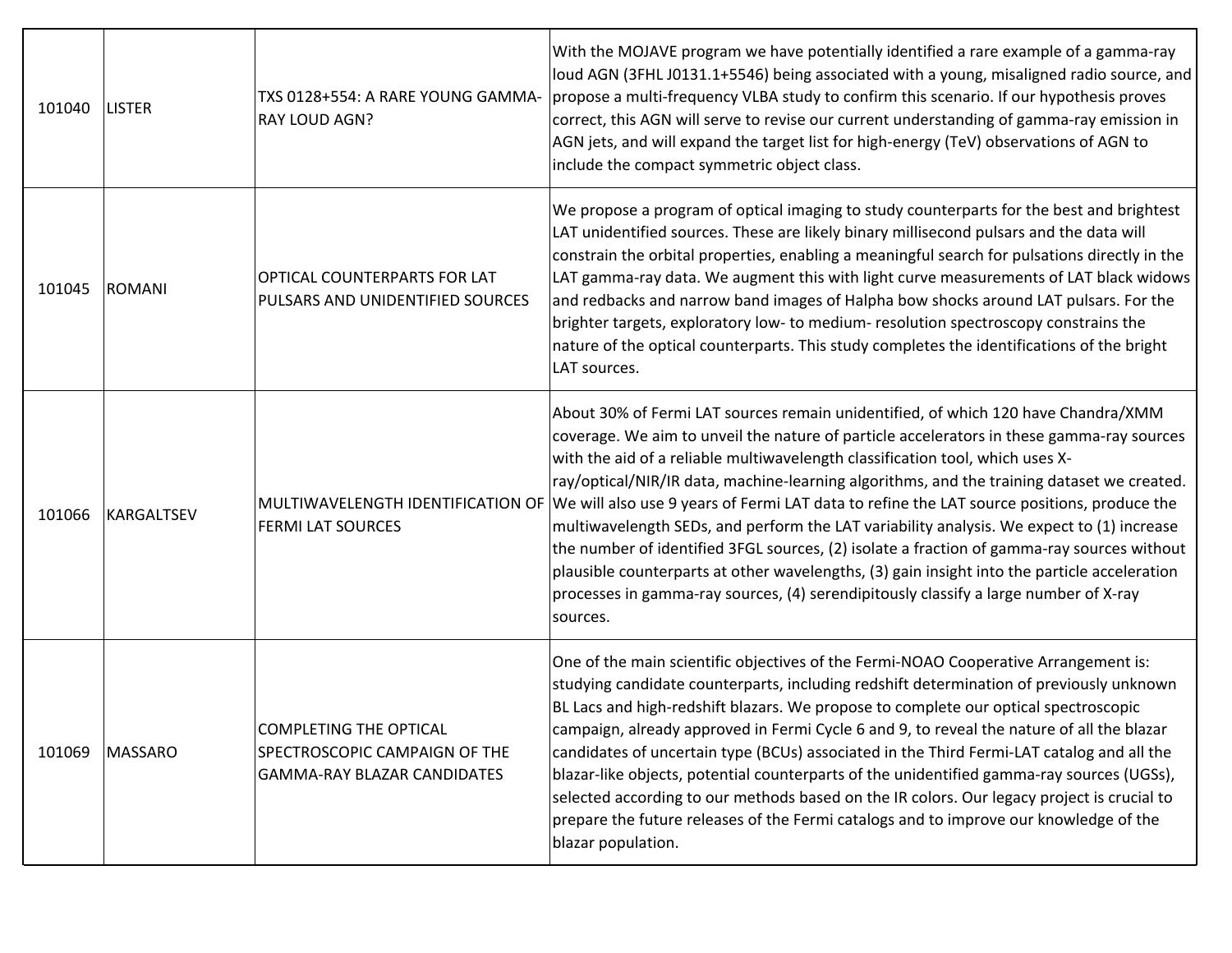| 101040 | <b>LISTER</b>     | TXS 0128+554: A RARE YOUNG GAMMA-<br><b>RAY LOUD AGN?</b>                                            | With the MOJAVE program we have potentially identified a rare example of a gamma-ray<br>loud AGN (3FHL J0131.1+5546) being associated with a young, misaligned radio source, and<br>propose a multi-frequency VLBA study to confirm this scenario. If our hypothesis proves<br>correct, this AGN will serve to revise our current understanding of gamma-ray emission in<br>AGN jets, and will expand the target list for high-energy (TeV) observations of AGN to<br>include the compact symmetric object class.                                                                                                                                                                                                                                                                                                                                                                            |
|--------|-------------------|------------------------------------------------------------------------------------------------------|----------------------------------------------------------------------------------------------------------------------------------------------------------------------------------------------------------------------------------------------------------------------------------------------------------------------------------------------------------------------------------------------------------------------------------------------------------------------------------------------------------------------------------------------------------------------------------------------------------------------------------------------------------------------------------------------------------------------------------------------------------------------------------------------------------------------------------------------------------------------------------------------|
| 101045 | <b>ROMANI</b>     | OPTICAL COUNTERPARTS FOR LAT<br>PULSARS AND UNIDENTIFIED SOURCES                                     | We propose a program of optical imaging to study counterparts for the best and brightest<br>LAT unidentified sources. These are likely binary millisecond pulsars and the data will<br>constrain the orbital properties, enabling a meaningful search for pulsations directly in the<br>LAT gamma-ray data. We augment this with light curve measurements of LAT black widows<br>and redbacks and narrow band images of Halpha bow shocks around LAT pulsars. For the<br>brighter targets, exploratory low- to medium- resolution spectroscopy constrains the<br>nature of the optical counterparts. This study completes the identifications of the bright<br>LAT sources.                                                                                                                                                                                                                  |
| 101066 | <b>KARGALTSEV</b> | <b>FERMI LAT SOURCES</b>                                                                             | About 30% of Fermi LAT sources remain unidentified, of which 120 have Chandra/XMM<br>coverage. We aim to unveil the nature of particle accelerators in these gamma-ray sources<br>with the aid of a reliable multiwavelength classification tool, which uses X-<br>ray/optical/NIR/IR data, machine-learning algorithms, and the training dataset we created.<br>MULTIWAVELENGTH IDENTIFICATION OF We will also use 9 years of Fermi LAT data to refine the LAT source positions, produce the<br>multiwavelength SEDs, and perform the LAT variability analysis. We expect to (1) increase<br>the number of identified 3FGL sources, (2) isolate a fraction of gamma-ray sources without<br>plausible counterparts at other wavelengths, (3) gain insight into the particle acceleration<br>processes in gamma-ray sources, (4) serendipitously classify a large number of X-ray<br>sources. |
| 101069 | <b>MASSARO</b>    | <b>COMPLETING THE OPTICAL</b><br>SPECTROSCOPIC CAMPAIGN OF THE<br><b>GAMMA-RAY BLAZAR CANDIDATES</b> | One of the main scientific objectives of the Fermi-NOAO Cooperative Arrangement is:<br>studying candidate counterparts, including redshift determination of previously unknown<br>BL Lacs and high-redshift blazars. We propose to complete our optical spectroscopic<br>campaign, already approved in Fermi Cycle 6 and 9, to reveal the nature of all the blazar<br>candidates of uncertain type (BCUs) associated in the Third Fermi-LAT catalog and all the<br>blazar-like objects, potential counterparts of the unidentified gamma-ray sources (UGSs),<br>selected according to our methods based on the IR colors. Our legacy project is crucial to<br>prepare the future releases of the Fermi catalogs and to improve our knowledge of the<br>blazar population.                                                                                                                    |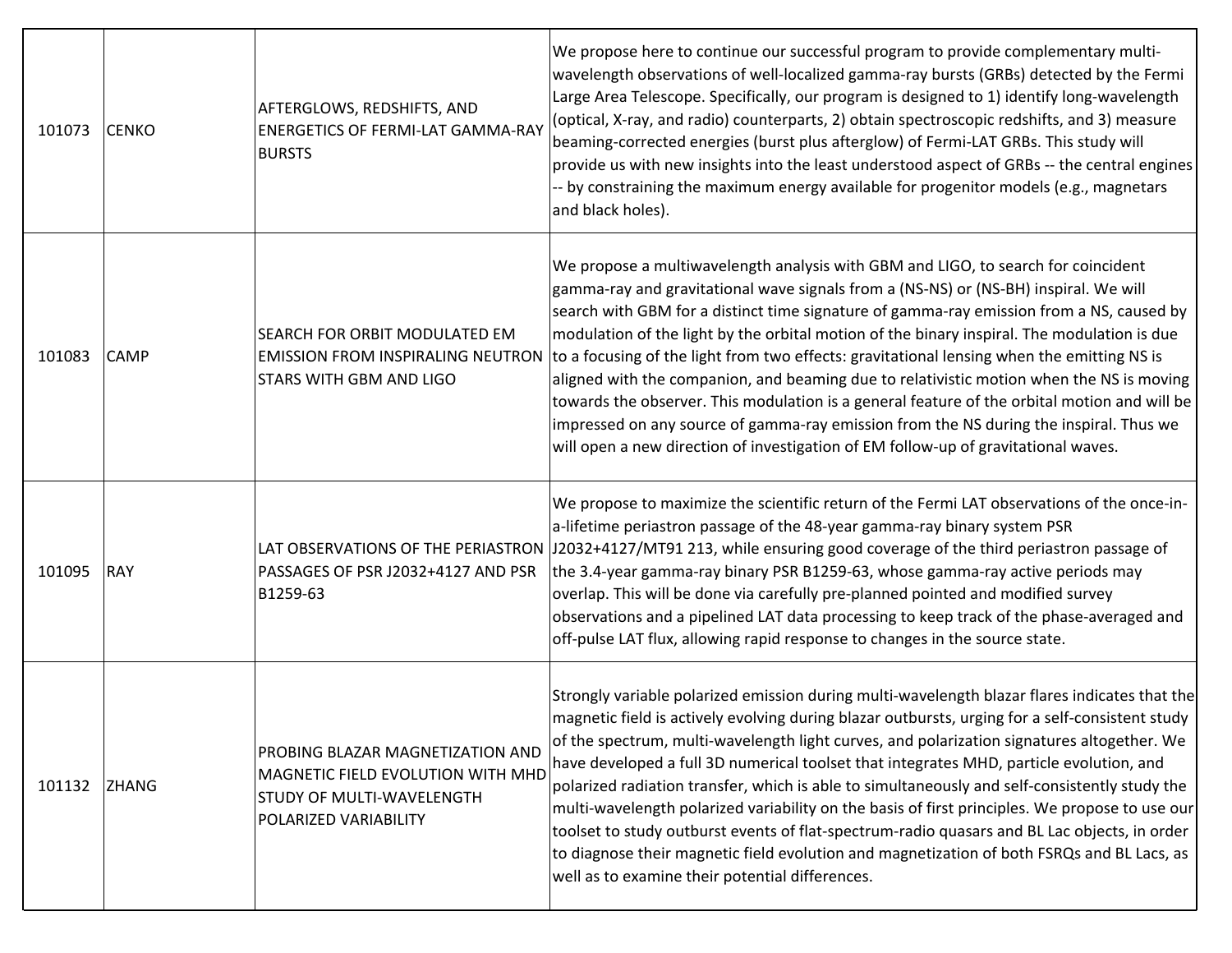| 101073 | <b>CENKO</b> | AFTERGLOWS, REDSHIFTS, AND<br><b>ENERGETICS OF FERMI-LAT GAMMA-RAY</b><br><b>BURSTS</b>                                     | We propose here to continue our successful program to provide complementary multi-<br>wavelength observations of well-localized gamma-ray bursts (GRBs) detected by the Fermi<br>Large Area Telescope. Specifically, our program is designed to 1) identify long-wavelength<br>(optical, X-ray, and radio) counterparts, 2) obtain spectroscopic redshifts, and 3) measure<br>beaming-corrected energies (burst plus afterglow) of Fermi-LAT GRBs. This study will<br>provide us with new insights into the least understood aspect of GRBs -- the central engines<br>-- by constraining the maximum energy available for progenitor models (e.g., magnetars<br>and black holes).                                                                                                                                                                                                |
|--------|--------------|-----------------------------------------------------------------------------------------------------------------------------|----------------------------------------------------------------------------------------------------------------------------------------------------------------------------------------------------------------------------------------------------------------------------------------------------------------------------------------------------------------------------------------------------------------------------------------------------------------------------------------------------------------------------------------------------------------------------------------------------------------------------------------------------------------------------------------------------------------------------------------------------------------------------------------------------------------------------------------------------------------------------------|
| 101083 | CAMP         | SEARCH FOR ORBIT MODULATED EM<br><b>STARS WITH GBM AND LIGO</b>                                                             | We propose a multiwavelength analysis with GBM and LIGO, to search for coincident<br>gamma-ray and gravitational wave signals from a (NS-NS) or (NS-BH) inspiral. We will<br>search with GBM for a distinct time signature of gamma-ray emission from a NS, caused by<br>modulation of the light by the orbital motion of the binary inspiral. The modulation is due<br>EMISSION FROM INSPIRALING NEUTRON to a focusing of the light from two effects: gravitational lensing when the emitting NS is<br>aligned with the companion, and beaming due to relativistic motion when the NS is moving<br>towards the observer. This modulation is a general feature of the orbital motion and will be<br>impressed on any source of gamma-ray emission from the NS during the inspiral. Thus we<br>will open a new direction of investigation of EM follow-up of gravitational waves. |
| 101095 | <b>RAY</b>   | PASSAGES OF PSR J2032+4127 AND PSR<br>B1259-63                                                                              | We propose to maximize the scientific return of the Fermi LAT observations of the once-in-<br>a-lifetime periastron passage of the 48-year gamma-ray binary system PSR<br>LAT OBSERVATIONS OF THE PERIASTRON  J2032+4127/MT91 213, while ensuring good coverage of the third periastron passage of<br>the 3.4-year gamma-ray binary PSR B1259-63, whose gamma-ray active periods may<br>overlap. This will be done via carefully pre-planned pointed and modified survey<br>observations and a pipelined LAT data processing to keep track of the phase-averaged and<br>off-pulse LAT flux, allowing rapid response to changes in the source state.                                                                                                                                                                                                                              |
| 101132 | <b>ZHANG</b> | PROBING BLAZAR MAGNETIZATION AND<br>MAGNETIC FIELD EVOLUTION WITH MHD<br>STUDY OF MULTI-WAVELENGTH<br>POLARIZED VARIABILITY | Strongly variable polarized emission during multi-wavelength blazar flares indicates that the<br>magnetic field is actively evolving during blazar outbursts, urging for a self-consistent study<br>of the spectrum, multi-wavelength light curves, and polarization signatures altogether. We<br>have developed a full 3D numerical toolset that integrates MHD, particle evolution, and<br>polarized radiation transfer, which is able to simultaneously and self-consistently study the<br>multi-wavelength polarized variability on the basis of first principles. We propose to use our<br>toolset to study outburst events of flat-spectrum-radio quasars and BL Lac objects, in order<br>to diagnose their magnetic field evolution and magnetization of both FSRQs and BL Lacs, as<br>well as to examine their potential differences.                                    |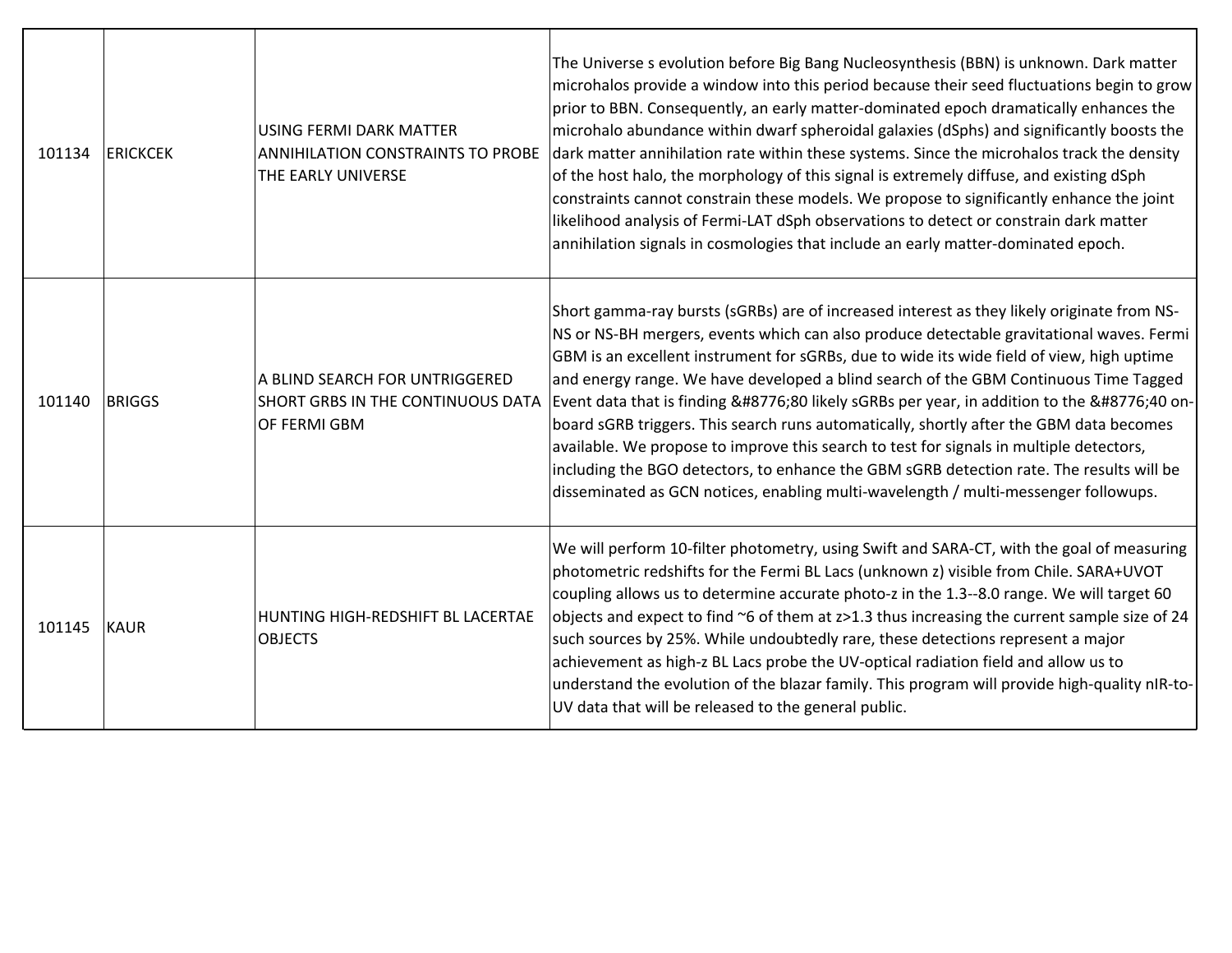| 101134 | <b>ERICKCEK</b> | <b>USING FERMI DARK MATTER</b><br>ANNIHILATION CONSTRAINTS TO PROBE<br>THE EARLY UNIVERSE | The Universe s evolution before Big Bang Nucleosynthesis (BBN) is unknown. Dark matter<br>microhalos provide a window into this period because their seed fluctuations begin to grow<br>prior to BBN. Consequently, an early matter-dominated epoch dramatically enhances the<br>microhalo abundance within dwarf spheroidal galaxies (dSphs) and significantly boosts the<br>dark matter annihilation rate within these systems. Since the microhalos track the density<br>of the host halo, the morphology of this signal is extremely diffuse, and existing dSph<br>constraints cannot constrain these models. We propose to significantly enhance the joint<br>likelihood analysis of Fermi-LAT dSph observations to detect or constrain dark matter<br>annihilation signals in cosmologies that include an early matter-dominated epoch. |
|--------|-----------------|-------------------------------------------------------------------------------------------|-----------------------------------------------------------------------------------------------------------------------------------------------------------------------------------------------------------------------------------------------------------------------------------------------------------------------------------------------------------------------------------------------------------------------------------------------------------------------------------------------------------------------------------------------------------------------------------------------------------------------------------------------------------------------------------------------------------------------------------------------------------------------------------------------------------------------------------------------|
| 101140 | <b>BRIGGS</b>   | A BLIND SEARCH FOR UNTRIGGERED<br>SHORT GRBS IN THE CONTINUOUS DATA<br>OF FERMI GBM       | Short gamma-ray bursts (sGRBs) are of increased interest as they likely originate from NS-<br>NS or NS-BH mergers, events which can also produce detectable gravitational waves. Fermi<br>GBM is an excellent instrument for sGRBs, due to wide its wide field of view, high uptime<br>and energy range. We have developed a blind search of the GBM Continuous Time Tagged<br>Event data that is finding ≈80 likely sGRBs per year, in addition to the ≈40 on-<br>board sGRB triggers. This search runs automatically, shortly after the GBM data becomes<br>available. We propose to improve this search to test for signals in multiple detectors,<br>including the BGO detectors, to enhance the GBM sGRB detection rate. The results will be<br>disseminated as GCN notices, enabling multi-wavelength / multi-messenger followups.      |
| 101145 | <b>KAUR</b>     | HUNTING HIGH-REDSHIFT BL LACERTAE<br><b>OBJECTS</b>                                       | We will perform 10-filter photometry, using Swift and SARA-CT, with the goal of measuring<br>photometric redshifts for the Fermi BL Lacs (unknown z) visible from Chile. SARA+UVOT<br>coupling allows us to determine accurate photo-z in the 1.3--8.0 range. We will target 60<br>objects and expect to find ~6 of them at z>1.3 thus increasing the current sample size of 24<br>such sources by 25%. While undoubtedly rare, these detections represent a major<br>achievement as high-z BL Lacs probe the UV-optical radiation field and allow us to<br>understand the evolution of the blazar family. This program will provide high-quality nIR-to-<br>UV data that will be released to the general public.                                                                                                                             |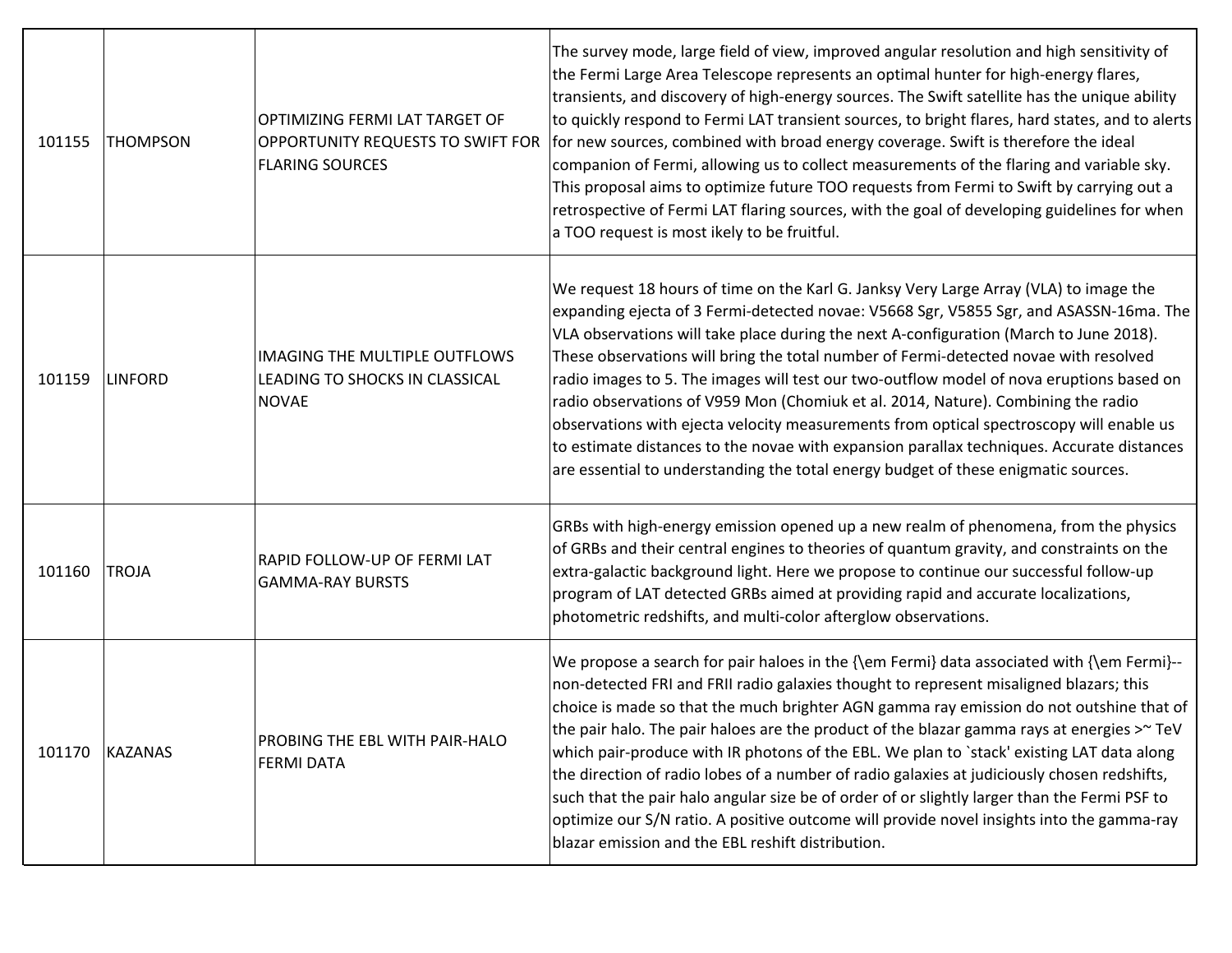| 101155 | <b>THOMPSON</b> | OPTIMIZING FERMI LAT TARGET OF<br>OPPORTUNITY REQUESTS TO SWIFT FOR<br><b>FLARING SOURCES</b> | The survey mode, large field of view, improved angular resolution and high sensitivity of<br>the Fermi Large Area Telescope represents an optimal hunter for high-energy flares,<br>transients, and discovery of high-energy sources. The Swift satellite has the unique ability<br>to quickly respond to Fermi LAT transient sources, to bright flares, hard states, and to alerts<br>for new sources, combined with broad energy coverage. Swift is therefore the ideal<br>companion of Fermi, allowing us to collect measurements of the flaring and variable sky.<br>This proposal aims to optimize future TOO requests from Fermi to Swift by carrying out a<br>retrospective of Fermi LAT flaring sources, with the goal of developing guidelines for when<br>a TOO request is most ikely to be fruitful.                  |
|--------|-----------------|-----------------------------------------------------------------------------------------------|----------------------------------------------------------------------------------------------------------------------------------------------------------------------------------------------------------------------------------------------------------------------------------------------------------------------------------------------------------------------------------------------------------------------------------------------------------------------------------------------------------------------------------------------------------------------------------------------------------------------------------------------------------------------------------------------------------------------------------------------------------------------------------------------------------------------------------|
| 101159 | <b>LINFORD</b>  | <b>IMAGING THE MULTIPLE OUTFLOWS</b><br>LEADING TO SHOCKS IN CLASSICAL<br><b>NOVAE</b>        | We request 18 hours of time on the Karl G. Janksy Very Large Array (VLA) to image the<br>expanding ejecta of 3 Fermi-detected novae: V5668 Sgr, V5855 Sgr, and ASASSN-16ma. The<br>VLA observations will take place during the next A-configuration (March to June 2018).<br>These observations will bring the total number of Fermi-detected novae with resolved<br>radio images to 5. The images will test our two-outflow model of nova eruptions based on<br>radio observations of V959 Mon (Chomiuk et al. 2014, Nature). Combining the radio<br>observations with ejecta velocity measurements from optical spectroscopy will enable us<br>to estimate distances to the novae with expansion parallax techniques. Accurate distances<br>are essential to understanding the total energy budget of these enigmatic sources. |
| 101160 | TROJA           | RAPID FOLLOW-UP OF FERMI LAT<br><b>GAMMA-RAY BURSTS</b>                                       | GRBs with high-energy emission opened up a new realm of phenomena, from the physics<br>of GRBs and their central engines to theories of quantum gravity, and constraints on the<br>extra-galactic background light. Here we propose to continue our successful follow-up<br>program of LAT detected GRBs aimed at providing rapid and accurate localizations,<br>photometric redshifts, and multi-color afterglow observations.                                                                                                                                                                                                                                                                                                                                                                                                  |
| 101170 | KAZANAS         | PROBING THE EBL WITH PAIR-HALO<br><b>FERMI DATA</b>                                           | We propose a search for pair haloes in the {\em Fermi} data associated with {\em Fermi}--<br>non-detected FRI and FRII radio galaxies thought to represent misaligned blazars; this<br>choice is made so that the much brighter AGN gamma ray emission do not outshine that of<br>the pair halo. The pair haloes are the product of the blazar gamma rays at energies >~ TeV<br>which pair-produce with IR photons of the EBL. We plan to `stack' existing LAT data along<br>the direction of radio lobes of a number of radio galaxies at judiciously chosen redshifts,<br>such that the pair halo angular size be of order of or slightly larger than the Fermi PSF to<br>optimize our S/N ratio. A positive outcome will provide novel insights into the gamma-ray<br>blazar emission and the EBL reshift distribution.       |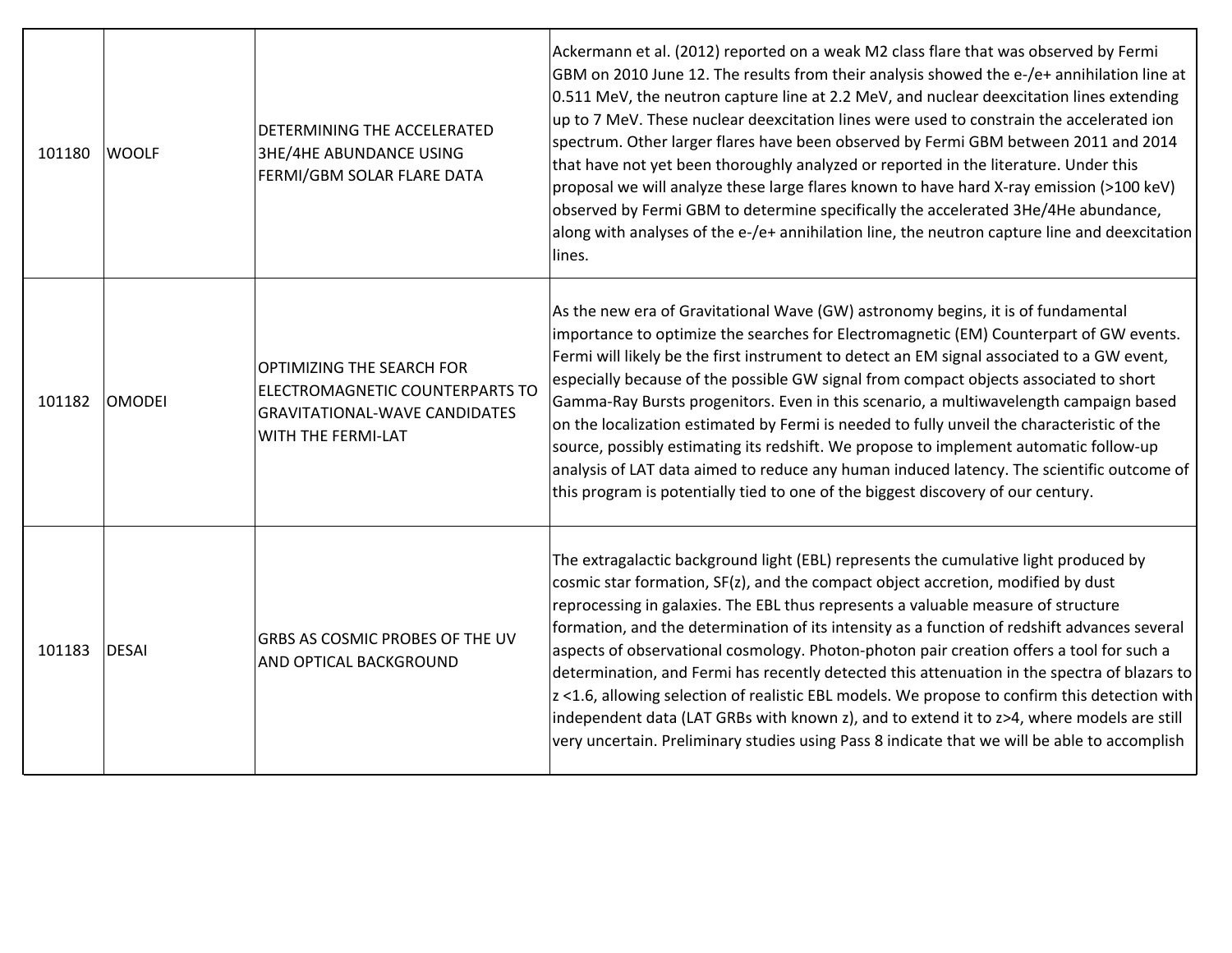| 101180 | <b>WOOLF</b>  | DETERMINING THE ACCELERATED<br><b>3HE/4HE ABUNDANCE USING</b><br>FERMI/GBM SOLAR FLARE DATA                                | Ackermann et al. (2012) reported on a weak M2 class flare that was observed by Fermi<br>GBM on 2010 June 12. The results from their analysis showed the e-/e+ annihilation line at<br>0.511 MeV, the neutron capture line at 2.2 MeV, and nuclear deexcitation lines extending<br>up to 7 MeV. These nuclear deexcitation lines were used to constrain the accelerated ion<br>spectrum. Other larger flares have been observed by Fermi GBM between 2011 and 2014<br>that have not yet been thoroughly analyzed or reported in the literature. Under this<br>proposal we will analyze these large flares known to have hard X-ray emission (>100 keV)<br>observed by Fermi GBM to determine specifically the accelerated 3He/4He abundance,<br>along with analyses of the e-/e+ annihilation line, the neutron capture line and deexcitation<br>lines.  |
|--------|---------------|----------------------------------------------------------------------------------------------------------------------------|---------------------------------------------------------------------------------------------------------------------------------------------------------------------------------------------------------------------------------------------------------------------------------------------------------------------------------------------------------------------------------------------------------------------------------------------------------------------------------------------------------------------------------------------------------------------------------------------------------------------------------------------------------------------------------------------------------------------------------------------------------------------------------------------------------------------------------------------------------|
| 101182 | <b>OMODEI</b> | OPTIMIZING THE SEARCH FOR<br>ELECTROMAGNETIC COUNTERPARTS TO<br><b>GRAVITATIONAL-WAVE CANDIDATES</b><br>WITH THE FERMI-LAT | As the new era of Gravitational Wave (GW) astronomy begins, it is of fundamental<br>importance to optimize the searches for Electromagnetic (EM) Counterpart of GW events.<br>Fermi will likely be the first instrument to detect an EM signal associated to a GW event,<br>especially because of the possible GW signal from compact objects associated to short<br>Gamma-Ray Bursts progenitors. Even in this scenario, a multiwavelength campaign based<br>on the localization estimated by Fermi is needed to fully unveil the characteristic of the<br>source, possibly estimating its redshift. We propose to implement automatic follow-up<br>analysis of LAT data aimed to reduce any human induced latency. The scientific outcome of<br>this program is potentially tied to one of the biggest discovery of our century.                      |
| 101183 | <b>DESAI</b>  | GRBS AS COSMIC PROBES OF THE UV<br>AND OPTICAL BACKGROUND                                                                  | The extragalactic background light (EBL) represents the cumulative light produced by<br>cosmic star formation, SF(z), and the compact object accretion, modified by dust<br>reprocessing in galaxies. The EBL thus represents a valuable measure of structure<br>formation, and the determination of its intensity as a function of redshift advances several<br>aspects of observational cosmology. Photon-photon pair creation offers a tool for such a<br>determination, and Fermi has recently detected this attenuation in the spectra of blazars to<br>z <1.6, allowing selection of realistic EBL models. We propose to confirm this detection with<br>independent data (LAT GRBs with known z), and to extend it to z>4, where models are still<br>very uncertain. Preliminary studies using Pass 8 indicate that we will be able to accomplish |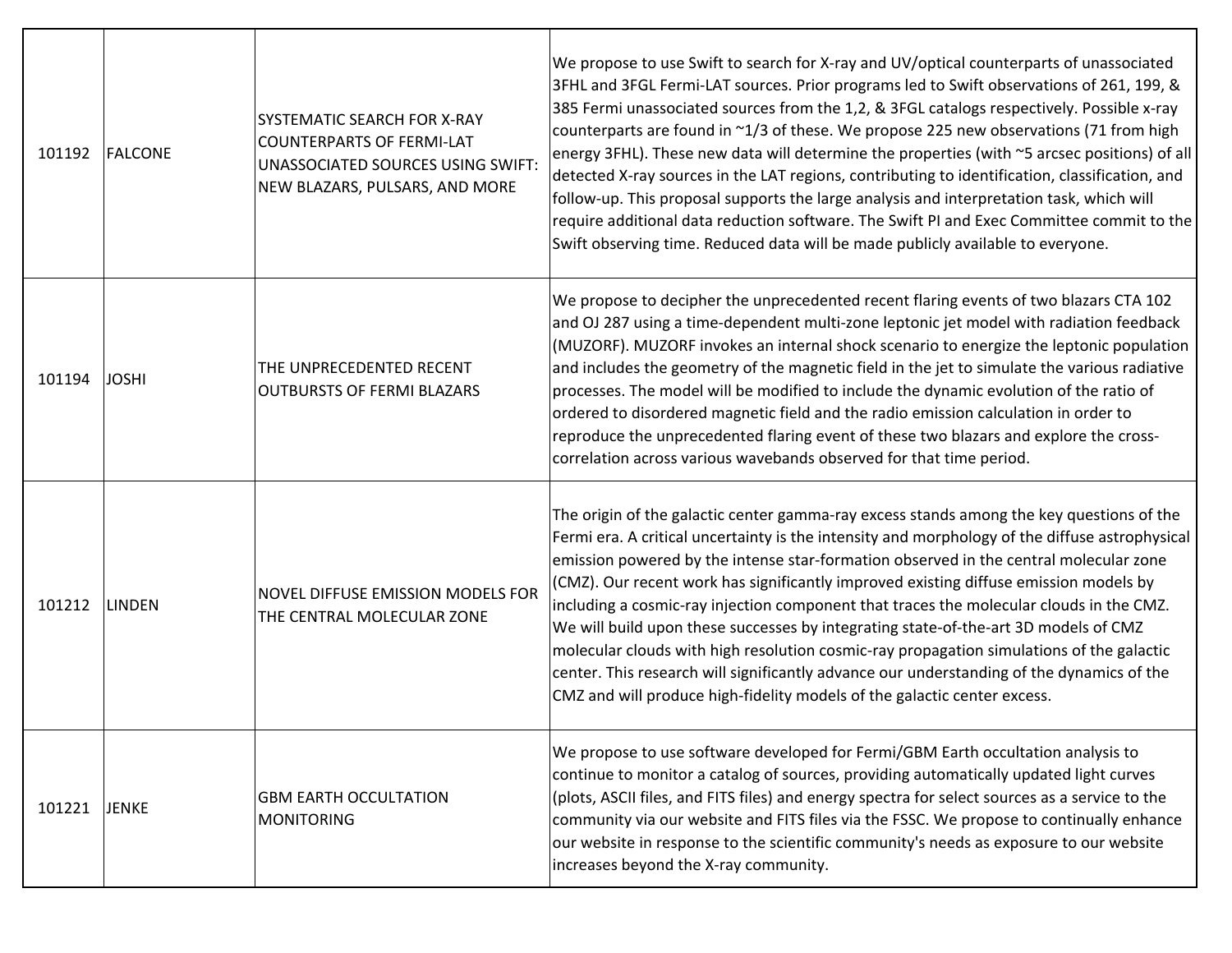| 101192 | FALCONE       | <b>SYSTEMATIC SEARCH FOR X-RAY</b><br><b>COUNTERPARTS OF FERMI-LAT</b><br>UNASSOCIATED SOURCES USING SWIFT:<br>NEW BLAZARS, PULSARS, AND MORE | We propose to use Swift to search for X-ray and UV/optical counterparts of unassociated<br>3FHL and 3FGL Fermi-LAT sources. Prior programs led to Swift observations of 261, 199, &<br>385 Fermi unassociated sources from the 1,2, & 3FGL catalogs respectively. Possible x-ray<br>counterparts are found in ~1/3 of these. We propose 225 new observations (71 from high<br>energy 3FHL). These new data will determine the properties (with ~5 arcsec positions) of all<br>detected X-ray sources in the LAT regions, contributing to identification, classification, and<br>follow-up. This proposal supports the large analysis and interpretation task, which will<br>require additional data reduction software. The Swift PI and Exec Committee commit to the<br>Swift observing time. Reduced data will be made publicly available to everyone. |
|--------|---------------|-----------------------------------------------------------------------------------------------------------------------------------------------|----------------------------------------------------------------------------------------------------------------------------------------------------------------------------------------------------------------------------------------------------------------------------------------------------------------------------------------------------------------------------------------------------------------------------------------------------------------------------------------------------------------------------------------------------------------------------------------------------------------------------------------------------------------------------------------------------------------------------------------------------------------------------------------------------------------------------------------------------------|
| 101194 | <b>JOSHI</b>  | THE UNPRECEDENTED RECENT<br><b>OUTBURSTS OF FERMI BLAZARS</b>                                                                                 | We propose to decipher the unprecedented recent flaring events of two blazars CTA 102<br>and OJ 287 using a time-dependent multi-zone leptonic jet model with radiation feedback<br>(MUZORF). MUZORF invokes an internal shock scenario to energize the leptonic population<br>and includes the geometry of the magnetic field in the jet to simulate the various radiative<br>processes. The model will be modified to include the dynamic evolution of the ratio of<br>ordered to disordered magnetic field and the radio emission calculation in order to<br>reproduce the unprecedented flaring event of these two blazars and explore the cross-<br>correlation across various wavebands observed for that time period.                                                                                                                             |
| 101212 | <b>LINDEN</b> | <b>NOVEL DIFFUSE EMISSION MODELS FOR</b><br>THE CENTRAL MOLECULAR ZONE                                                                        | The origin of the galactic center gamma-ray excess stands among the key questions of the<br>Fermi era. A critical uncertainty is the intensity and morphology of the diffuse astrophysical<br>emission powered by the intense star-formation observed in the central molecular zone<br>(CMZ). Our recent work has significantly improved existing diffuse emission models by<br>including a cosmic-ray injection component that traces the molecular clouds in the CMZ.<br>We will build upon these successes by integrating state-of-the-art 3D models of CMZ<br>molecular clouds with high resolution cosmic-ray propagation simulations of the galactic<br>center. This research will significantly advance our understanding of the dynamics of the<br>CMZ and will produce high-fidelity models of the galactic center excess.                      |
| 101221 | <b>JENKE</b>  | <b>GBM EARTH OCCULTATION</b><br>MONITORING                                                                                                    | We propose to use software developed for Fermi/GBM Earth occultation analysis to<br>continue to monitor a catalog of sources, providing automatically updated light curves<br>(plots, ASCII files, and FITS files) and energy spectra for select sources as a service to the<br>community via our website and FITS files via the FSSC. We propose to continually enhance<br>our website in response to the scientific community's needs as exposure to our website<br>increases beyond the X-ray community.                                                                                                                                                                                                                                                                                                                                              |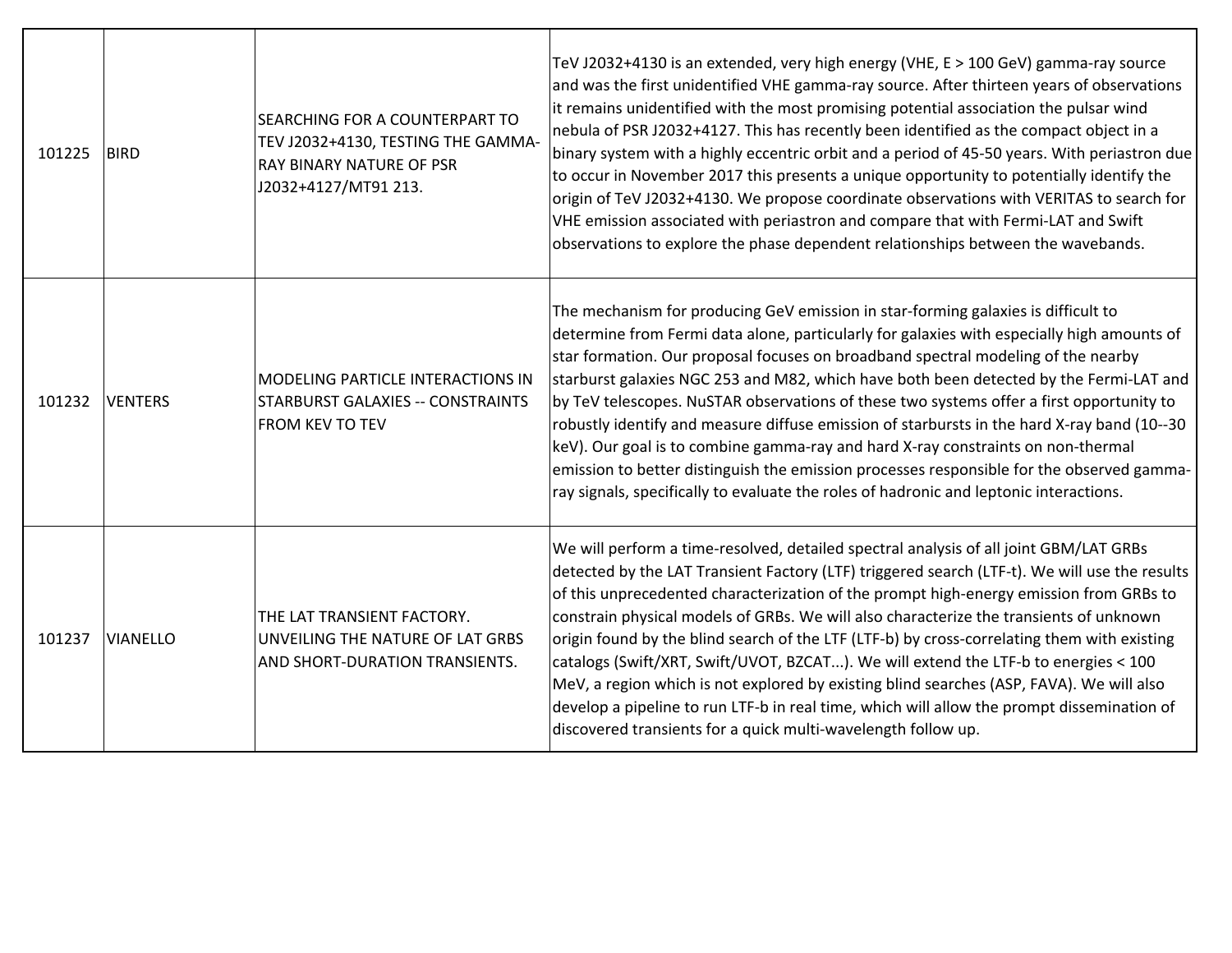| 101225 | <b>BIRD</b>     | SEARCHING FOR A COUNTERPART TO<br>TEV J2032+4130, TESTING THE GAMMA-<br>RAY BINARY NATURE OF PSR<br>J2032+4127/MT91 213. | TeV J2032+4130 is an extended, very high energy (VHE, E > 100 GeV) gamma-ray source<br>and was the first unidentified VHE gamma-ray source. After thirteen years of observations<br>it remains unidentified with the most promising potential association the pulsar wind<br>nebula of PSR J2032+4127. This has recently been identified as the compact object in a<br>binary system with a highly eccentric orbit and a period of 45-50 years. With periastron due<br>to occur in November 2017 this presents a unique opportunity to potentially identify the<br>origin of TeV J2032+4130. We propose coordinate observations with VERITAS to search for<br>VHE emission associated with periastron and compare that with Fermi-LAT and Swift<br>observations to explore the phase dependent relationships between the wavebands.  |
|--------|-----------------|--------------------------------------------------------------------------------------------------------------------------|--------------------------------------------------------------------------------------------------------------------------------------------------------------------------------------------------------------------------------------------------------------------------------------------------------------------------------------------------------------------------------------------------------------------------------------------------------------------------------------------------------------------------------------------------------------------------------------------------------------------------------------------------------------------------------------------------------------------------------------------------------------------------------------------------------------------------------------|
| 101232 | <b>VENTERS</b>  | <b>MODELING PARTICLE INTERACTIONS IN</b><br><b>STARBURST GALAXIES -- CONSTRAINTS</b><br>FROM KEV TO TEV                  | The mechanism for producing GeV emission in star-forming galaxies is difficult to<br>determine from Fermi data alone, particularly for galaxies with especially high amounts of<br>star formation. Our proposal focuses on broadband spectral modeling of the nearby<br>starburst galaxies NGC 253 and M82, which have both been detected by the Fermi-LAT and<br>by TeV telescopes. NuSTAR observations of these two systems offer a first opportunity to<br>robustly identify and measure diffuse emission of starbursts in the hard X-ray band (10--30<br>keV). Our goal is to combine gamma-ray and hard X-ray constraints on non-thermal<br>emission to better distinguish the emission processes responsible for the observed gamma-<br>ray signals, specifically to evaluate the roles of hadronic and leptonic interactions. |
| 101237 | <b>VIANELLO</b> | THE LAT TRANSIENT FACTORY.<br>UNVEILING THE NATURE OF LAT GRBS<br>AND SHORT-DURATION TRANSIENTS.                         | We will perform a time-resolved, detailed spectral analysis of all joint GBM/LAT GRBs<br>detected by the LAT Transient Factory (LTF) triggered search (LTF-t). We will use the results<br>of this unprecedented characterization of the prompt high-energy emission from GRBs to<br>constrain physical models of GRBs. We will also characterize the transients of unknown<br>origin found by the blind search of the LTF (LTF-b) by cross-correlating them with existing<br>catalogs (Swift/XRT, Swift/UVOT, BZCAT). We will extend the LTF-b to energies < 100<br>MeV, a region which is not explored by existing blind searches (ASP, FAVA). We will also<br>develop a pipeline to run LTF-b in real time, which will allow the prompt dissemination of<br>discovered transients for a quick multi-wavelength follow up.          |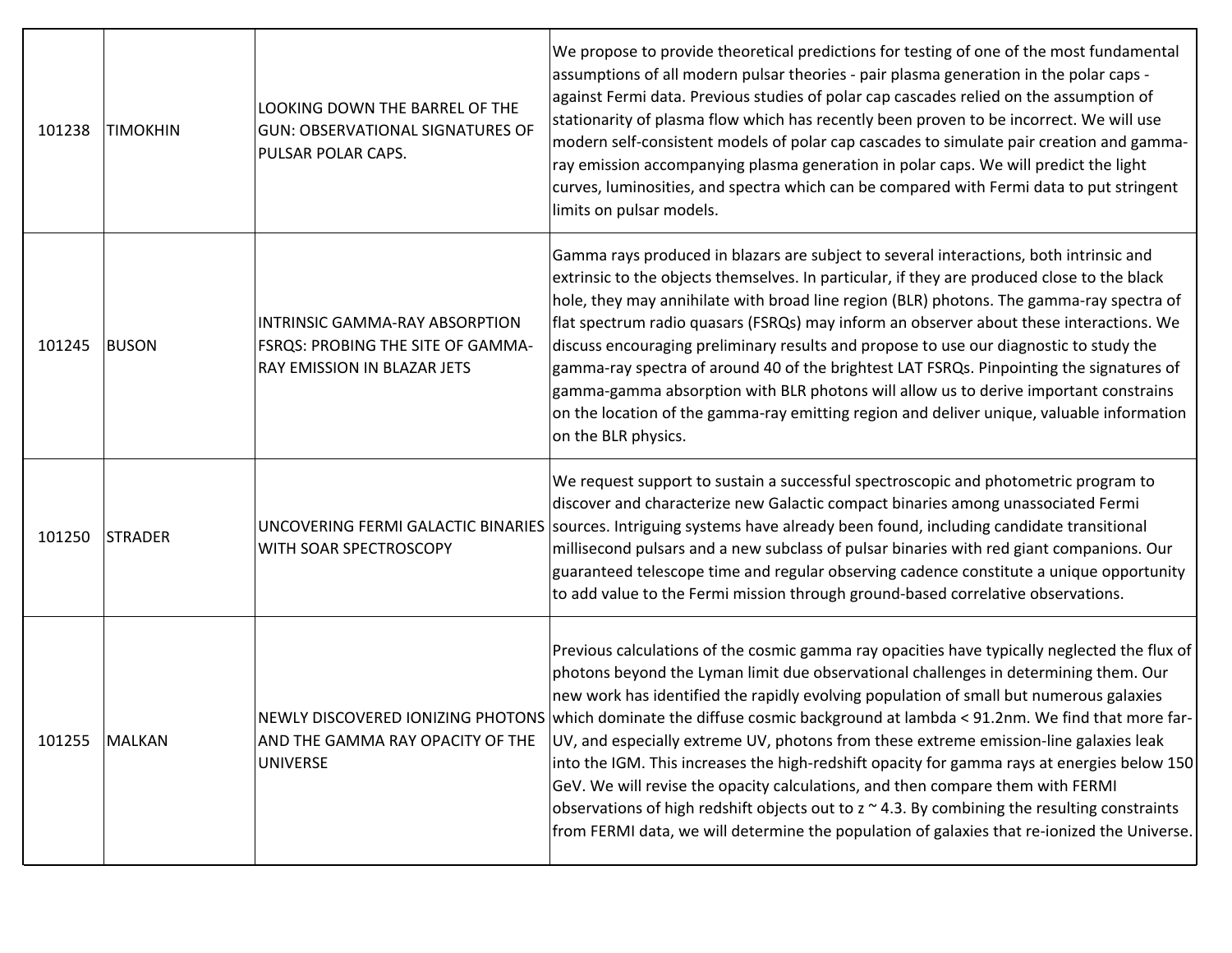| 101238 | <b>TIMOKHIN</b> | LOOKING DOWN THE BARREL OF THE<br><b>GUN: OBSERVATIONAL SIGNATURES OF</b><br>PULSAR POLAR CAPS.    | We propose to provide theoretical predictions for testing of one of the most fundamental<br>assumptions of all modern pulsar theories - pair plasma generation in the polar caps -<br>against Fermi data. Previous studies of polar cap cascades relied on the assumption of<br>stationarity of plasma flow which has recently been proven to be incorrect. We will use<br>modern self-consistent models of polar cap cascades to simulate pair creation and gamma-<br>ray emission accompanying plasma generation in polar caps. We will predict the light<br>curves, luminosities, and spectra which can be compared with Fermi data to put stringent<br>limits on pulsar models.                                                                                                                                                                                                        |
|--------|-----------------|----------------------------------------------------------------------------------------------------|--------------------------------------------------------------------------------------------------------------------------------------------------------------------------------------------------------------------------------------------------------------------------------------------------------------------------------------------------------------------------------------------------------------------------------------------------------------------------------------------------------------------------------------------------------------------------------------------------------------------------------------------------------------------------------------------------------------------------------------------------------------------------------------------------------------------------------------------------------------------------------------------|
| 101245 | <b>BUSON</b>    | INTRINSIC GAMMA-RAY ABSORPTION<br>FSRQS: PROBING THE SITE OF GAMMA-<br>RAY EMISSION IN BLAZAR JETS | Gamma rays produced in blazars are subject to several interactions, both intrinsic and<br>extrinsic to the objects themselves. In particular, if they are produced close to the black<br>hole, they may annihilate with broad line region (BLR) photons. The gamma-ray spectra of<br>flat spectrum radio quasars (FSRQs) may inform an observer about these interactions. We<br>discuss encouraging preliminary results and propose to use our diagnostic to study the<br>gamma-ray spectra of around 40 of the brightest LAT FSRQs. Pinpointing the signatures of<br>gamma-gamma absorption with BLR photons will allow us to derive important constrains<br>on the location of the gamma-ray emitting region and deliver unique, valuable information<br>on the BLR physics.                                                                                                             |
| 101250 | <b>STRADER</b>  | UNCOVERING FERMI GALACTIC BINARIES<br>WITH SOAR SPECTROSCOPY                                       | We request support to sustain a successful spectroscopic and photometric program to<br>discover and characterize new Galactic compact binaries among unassociated Fermi<br>sources. Intriguing systems have already been found, including candidate transitional<br>millisecond pulsars and a new subclass of pulsar binaries with red giant companions. Our<br>guaranteed telescope time and regular observing cadence constitute a unique opportunity<br>to add value to the Fermi mission through ground-based correlative observations.                                                                                                                                                                                                                                                                                                                                                |
| 101255 | <b>MALKAN</b>   | AND THE GAMMA RAY OPACITY OF THE<br><b>UNIVERSE</b>                                                | Previous calculations of the cosmic gamma ray opacities have typically neglected the flux of<br>photons beyond the Lyman limit due observational challenges in determining them. Our<br>new work has identified the rapidly evolving population of small but numerous galaxies<br>NEWLY DISCOVERED IONIZING PHOTONS which dominate the diffuse cosmic background at lambda < 91.2nm. We find that more far-<br>UV, and especially extreme UV, photons from these extreme emission-line galaxies leak<br>into the IGM. This increases the high-redshift opacity for gamma rays at energies below 150<br>GeV. We will revise the opacity calculations, and then compare them with FERMI<br>observations of high redshift objects out to $z \sim 4.3$ . By combining the resulting constraints<br>from FERMI data, we will determine the population of galaxies that re-ionized the Universe. |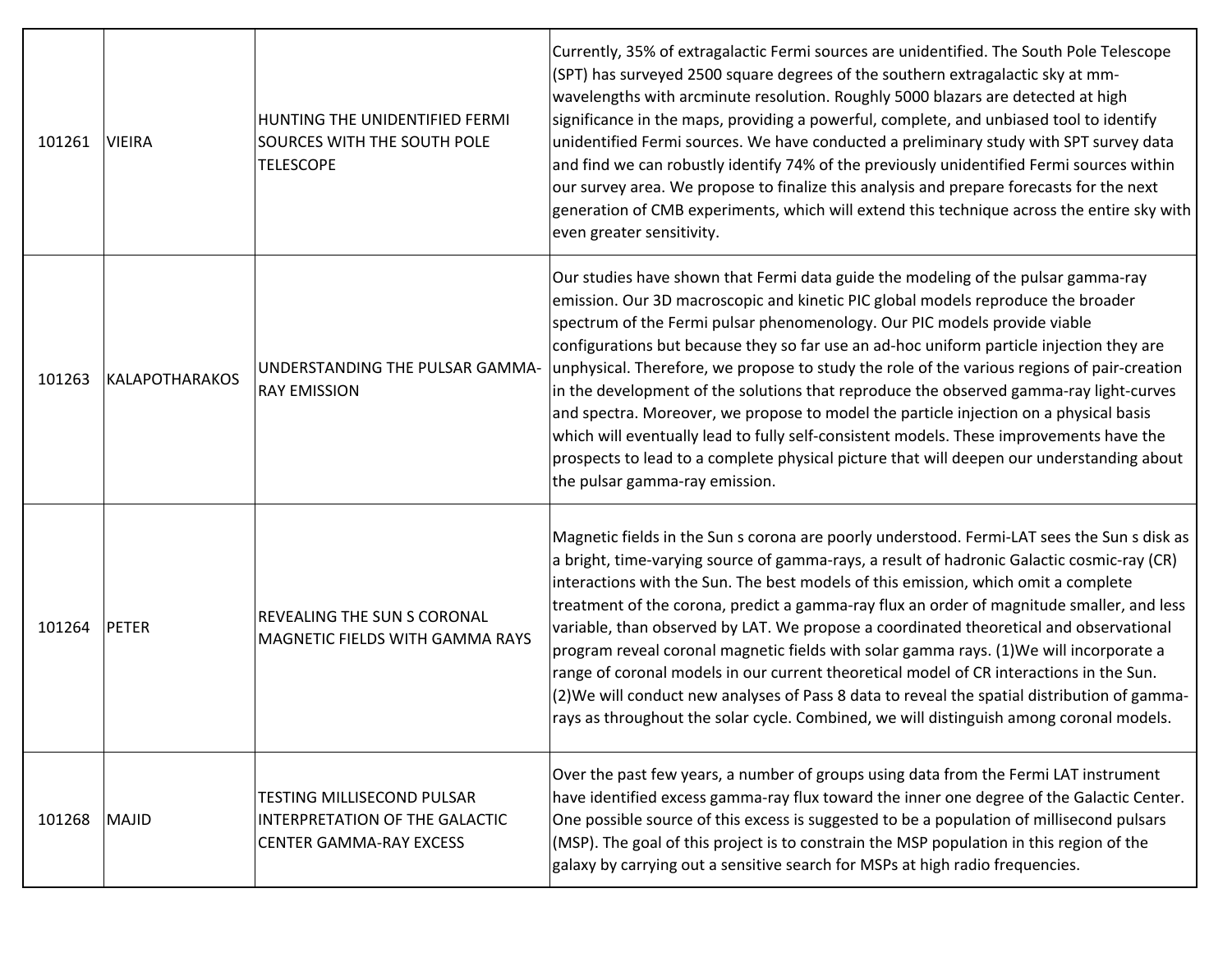| 101261 | <b>VIEIRA</b>         | HUNTING THE UNIDENTIFIED FERMI<br><b>SOURCES WITH THE SOUTH POLE</b><br><b>TELESCOPE</b>              | Currently, 35% of extragalactic Fermi sources are unidentified. The South Pole Telescope<br>(SPT) has surveyed 2500 square degrees of the southern extragalactic sky at mm-<br>wavelengths with arcminute resolution. Roughly 5000 blazars are detected at high<br>significance in the maps, providing a powerful, complete, and unbiased tool to identify<br>unidentified Fermi sources. We have conducted a preliminary study with SPT survey data<br>and find we can robustly identify 74% of the previously unidentified Fermi sources within<br>our survey area. We propose to finalize this analysis and prepare forecasts for the next<br>generation of CMB experiments, which will extend this technique across the entire sky with<br>even greater sensitivity.                                                                                   |
|--------|-----------------------|-------------------------------------------------------------------------------------------------------|------------------------------------------------------------------------------------------------------------------------------------------------------------------------------------------------------------------------------------------------------------------------------------------------------------------------------------------------------------------------------------------------------------------------------------------------------------------------------------------------------------------------------------------------------------------------------------------------------------------------------------------------------------------------------------------------------------------------------------------------------------------------------------------------------------------------------------------------------------|
| 101263 | <b>KALAPOTHARAKOS</b> | UNDERSTANDING THE PULSAR GAMMA-<br><b>RAY EMISSION</b>                                                | Our studies have shown that Fermi data guide the modeling of the pulsar gamma-ray<br>emission. Our 3D macroscopic and kinetic PIC global models reproduce the broader<br>spectrum of the Fermi pulsar phenomenology. Our PIC models provide viable<br>configurations but because they so far use an ad-hoc uniform particle injection they are<br>unphysical. Therefore, we propose to study the role of the various regions of pair-creation<br>in the development of the solutions that reproduce the observed gamma-ray light-curves<br>and spectra. Moreover, we propose to model the particle injection on a physical basis<br>which will eventually lead to fully self-consistent models. These improvements have the<br>prospects to lead to a complete physical picture that will deepen our understanding about<br>the pulsar gamma-ray emission. |
| 101264 | <b>PETER</b>          | REVEALING THE SUN S CORONAL<br>MAGNETIC FIELDS WITH GAMMA RAYS                                        | Magnetic fields in the Sun s corona are poorly understood. Fermi-LAT sees the Sun s disk as<br>a bright, time-varying source of gamma-rays, a result of hadronic Galactic cosmic-ray (CR)<br>interactions with the Sun. The best models of this emission, which omit a complete<br>treatment of the corona, predict a gamma-ray flux an order of magnitude smaller, and less<br>variable, than observed by LAT. We propose a coordinated theoretical and observational<br>program reveal coronal magnetic fields with solar gamma rays. (1) We will incorporate a<br>range of coronal models in our current theoretical model of CR interactions in the Sun.<br>(2) We will conduct new analyses of Pass 8 data to reveal the spatial distribution of gamma-<br>rays as throughout the solar cycle. Combined, we will distinguish among coronal models.    |
| 101268 | <b>MAJID</b>          | TESTING MILLISECOND PULSAR<br><b>INTERPRETATION OF THE GALACTIC</b><br><b>CENTER GAMMA-RAY EXCESS</b> | Over the past few years, a number of groups using data from the Fermi LAT instrument<br>have identified excess gamma-ray flux toward the inner one degree of the Galactic Center.<br>One possible source of this excess is suggested to be a population of millisecond pulsars<br>(MSP). The goal of this project is to constrain the MSP population in this region of the<br>galaxy by carrying out a sensitive search for MSPs at high radio frequencies.                                                                                                                                                                                                                                                                                                                                                                                                |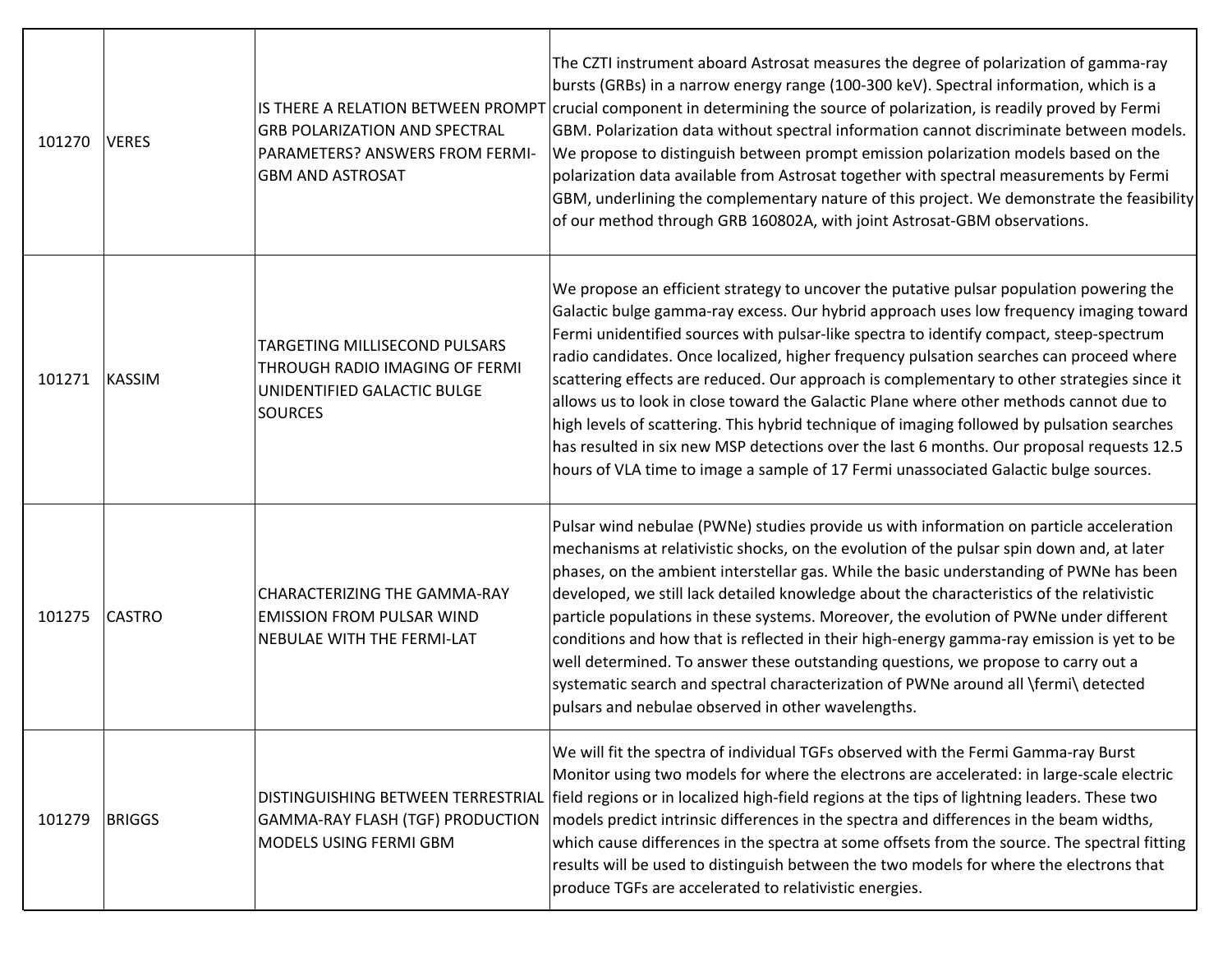| 101270 | <b>VERES</b>  | <b>GRB POLARIZATION AND SPECTRAL</b><br><b>PARAMETERS? ANSWERS FROM FERMI-</b><br><b>GBM AND ASTROSAT</b>        | The CZTI instrument aboard Astrosat measures the degree of polarization of gamma-ray<br>bursts (GRBs) in a narrow energy range (100-300 keV). Spectral information, which is a<br>IS THERE A RELATION BETWEEN PROMPT crucial component in determining the source of polarization, is readily proved by Fermi<br>GBM. Polarization data without spectral information cannot discriminate between models.<br>We propose to distinguish between prompt emission polarization models based on the<br>polarization data available from Astrosat together with spectral measurements by Fermi<br>GBM, underlining the complementary nature of this project. We demonstrate the feasibility<br>of our method through GRB 160802A, with joint Astrosat-GBM observations.                                                                                   |
|--------|---------------|------------------------------------------------------------------------------------------------------------------|----------------------------------------------------------------------------------------------------------------------------------------------------------------------------------------------------------------------------------------------------------------------------------------------------------------------------------------------------------------------------------------------------------------------------------------------------------------------------------------------------------------------------------------------------------------------------------------------------------------------------------------------------------------------------------------------------------------------------------------------------------------------------------------------------------------------------------------------------|
| 101271 | <b>KASSIM</b> | TARGETING MILLISECOND PULSARS<br>THROUGH RADIO IMAGING OF FERMI<br>UNIDENTIFIED GALACTIC BULGE<br><b>SOURCES</b> | We propose an efficient strategy to uncover the putative pulsar population powering the<br>Galactic bulge gamma-ray excess. Our hybrid approach uses low frequency imaging toward<br>Fermi unidentified sources with pulsar-like spectra to identify compact, steep-spectrum<br>radio candidates. Once localized, higher frequency pulsation searches can proceed where<br>scattering effects are reduced. Our approach is complementary to other strategies since it<br>allows us to look in close toward the Galactic Plane where other methods cannot due to<br>high levels of scattering. This hybrid technique of imaging followed by pulsation searches<br>has resulted in six new MSP detections over the last 6 months. Our proposal requests 12.5<br>hours of VLA time to image a sample of 17 Fermi unassociated Galactic bulge sources. |
| 101275 | <b>CASTRO</b> | <b>CHARACTERIZING THE GAMMA-RAY</b><br><b>EMISSION FROM PULSAR WIND</b><br><b>NEBULAE WITH THE FERMI-LAT</b>     | Pulsar wind nebulae (PWNe) studies provide us with information on particle acceleration<br>mechanisms at relativistic shocks, on the evolution of the pulsar spin down and, at later<br>phases, on the ambient interstellar gas. While the basic understanding of PWNe has been<br>developed, we still lack detailed knowledge about the characteristics of the relativistic<br>particle populations in these systems. Moreover, the evolution of PWNe under different<br>conditions and how that is reflected in their high-energy gamma-ray emission is yet to be<br>well determined. To answer these outstanding questions, we propose to carry out a<br>systematic search and spectral characterization of PWNe around all \fermi\ detected<br>pulsars and nebulae observed in other wavelengths.                                              |
| 101279 | <b>BRIGGS</b> | GAMMA-RAY FLASH (TGF) PRODUCTION<br>MODELS USING FERMI GBM                                                       | We will fit the spectra of individual TGFs observed with the Fermi Gamma-ray Burst<br>Monitor using two models for where the electrons are accelerated: in large-scale electric<br>DISTINGUISHING BETWEEN TERRESTRIAL field regions or in localized high-field regions at the tips of lightning leaders. These two<br>models predict intrinsic differences in the spectra and differences in the beam widths,<br>which cause differences in the spectra at some offsets from the source. The spectral fitting<br>results will be used to distinguish between the two models for where the electrons that<br>produce TGFs are accelerated to relativistic energies.                                                                                                                                                                                 |